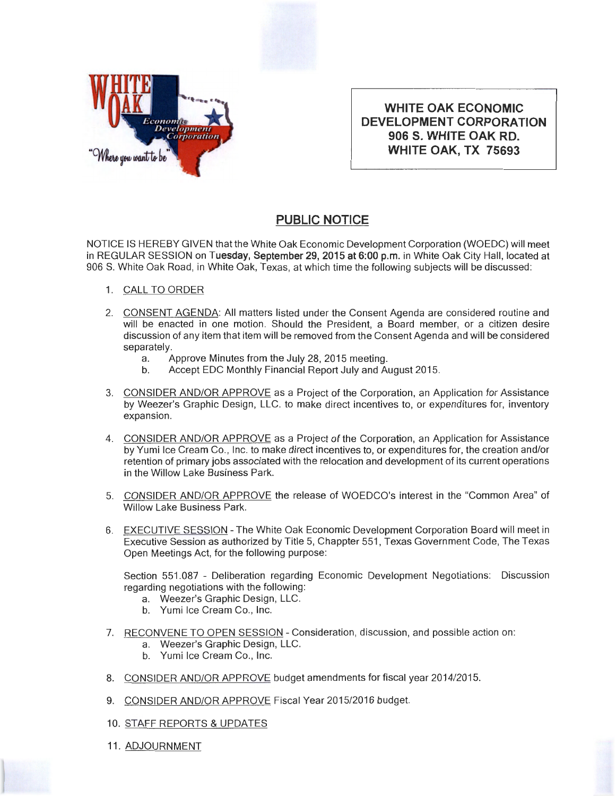

**WHITE OAK ECONOMIC DEVELOPMENT CORPORATION 906 S. WHITE OAK RD. WHITE OAK, TX 75693** 

## **PUBLIC NOTICE**

NOTICE IS HEREBY GIVEN that the White Oak Economic Development Corporation (WOEDC) will meet in REGULAR SESSION on **Tuesday, September** 29, **2015 at 6:00p.m.** in White Oak City Hall, located at 906 S. White Oak Road, in White Oak, Texas, at which time the following subjects will be discussed:

- 1. CALL TO ORDER
- 2. CONSENT AGENDA: All matters listed under the Consent Agenda are considered routine and will be enacted in one motion. Should the President, a Board member, or a citizen desire discussion of any item that item will be removed from the Consent Agenda and will be considered separately.
	- a. Approve Minutes from the July 28, 2015 meeting.
	- b. Accept EDC Monthly Financial Report July and August 2015.
- 3. CONSIDER AND/OR APPROVE as a Project of the Corporation, an Application for Assistance by Weezer's Graphic Design, LLC. to make direct incentives to, or expenditures for, inventory expansion.
- 4. CONSIDER AND/OR APPROVE as a Project of the Corporation , an Application for Assistance by Yumi Ice Cream Co., Inc. to make direct incentives to, or expenditures for, the creation and/or retention of primary jobs associated with the relocation and development of its current operations in the Willow Lake Business Park.
- 5. CONSIDER AND/OR APPROVE the release of WOEDCO's interest in the "Common Area" of Willow Lake Business Park.
- 6. EXECUTIVE SESSION The White Oak Economic Development Corporation Board will meet in Executive Session as authorized by Title 5, Chappter 551 , Texas Government Code, The Texas Open Meetings Act, for the following purpose:

Section 551.087 - Deliberation regarding Economic Development Negotiations: Discussion regarding negotiations with the following:

- a. Weezer's Graphic Design, LLC.
- b. Yumi Ice Cream Co., Inc.
- 7. RECONVENE TO OPEN SESSION Consideration, discussion, and possible action on:
	- a. Weezer's Graphic Design, LLC.
	- b. Yumi Ice Cream Co., Inc.
- 8. CONSIDER AND/OR APPROVE budget amendments for fiscal year 2014/2015.
- 9. CONSIDER AND/OR APPROVE Fiscal Year 2015/2016 budget.
- 10. STAFF REPORTS & UPDATES
- 11. ADJOURNMENT